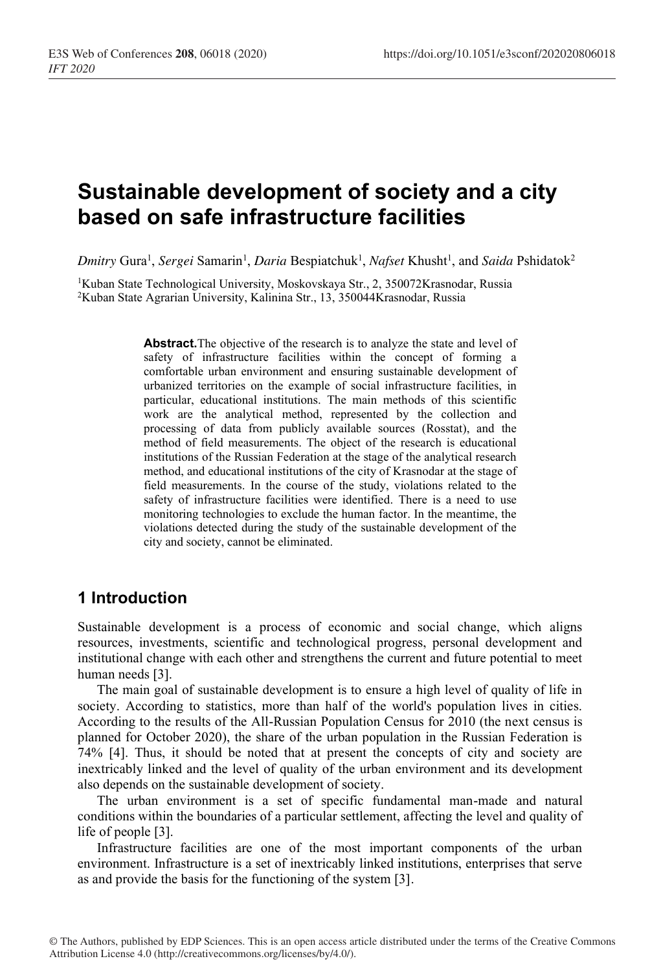# **Sustainable development of society and a city based on safe infrastructure facilities**

 $D$ *mitry* Gura<sup>1</sup>, *Sergei* Samarin<sup>1</sup>, *Daria* Bespiatchuk<sup>1</sup>, *Nafset* Khusht<sup>1</sup>, and *Saida* Pshidatok<sup>2</sup>

1Kuban State Technological University, Moskovskaya Str., 2, 350072Krasnodar, Russia 2Kuban State Agrarian University, Kalinina Str., 13, 350044Krasnodar, Russia

> **Abstract.**The objective of the research is to analyze the state and level of safety of infrastructure facilities within the concept of forming a comfortable urban environment and ensuring sustainable development of urbanized territories on the example of social infrastructure facilities, in particular, educational institutions. The main methods of this scientific work are the analytical method, represented by the collection and processing of data from publicly available sources (Rosstat), and the method of field measurements. The object of the research is educational institutions of the Russian Federation at the stage of the analytical research method, and educational institutions of the city of Krasnodar at the stage of field measurements. In the course of the study, violations related to the safety of infrastructure facilities were identified. There is a need to use monitoring technologies to exclude the human factor. In the meantime, the violations detected during the study of the sustainable development of the city and society, cannot be eliminated.

## **1 Introduction**

Sustainable development is a process of economic and social change, which aligns resources, investments, scientific and technological progress, personal development and institutional change with each other and strengthens the current and future potential to meet human needs [3].

The main goal of sustainable development is to ensure a high level of quality of life in society. According to statistics, more than half of the world's population lives in cities. According to the results of the All-Russian Population Census for 2010 (the next census is planned for October 2020), the share of the urban population in the Russian Federation is 74% [4]. Thus, it should be noted that at present the concepts of city and society are inextricably linked and the level of quality of the urban environment and its development also depends on the sustainable development of society.

The urban environment is a set of specific fundamental man-made and natural conditions within the boundaries of a particular settlement, affecting the level and quality of life of people [3].

Infrastructure facilities are one of the most important components of the urban environment. Infrastructure is a set of inextricably linked institutions, enterprises that serve as and provide the basis for the functioning of the system [3].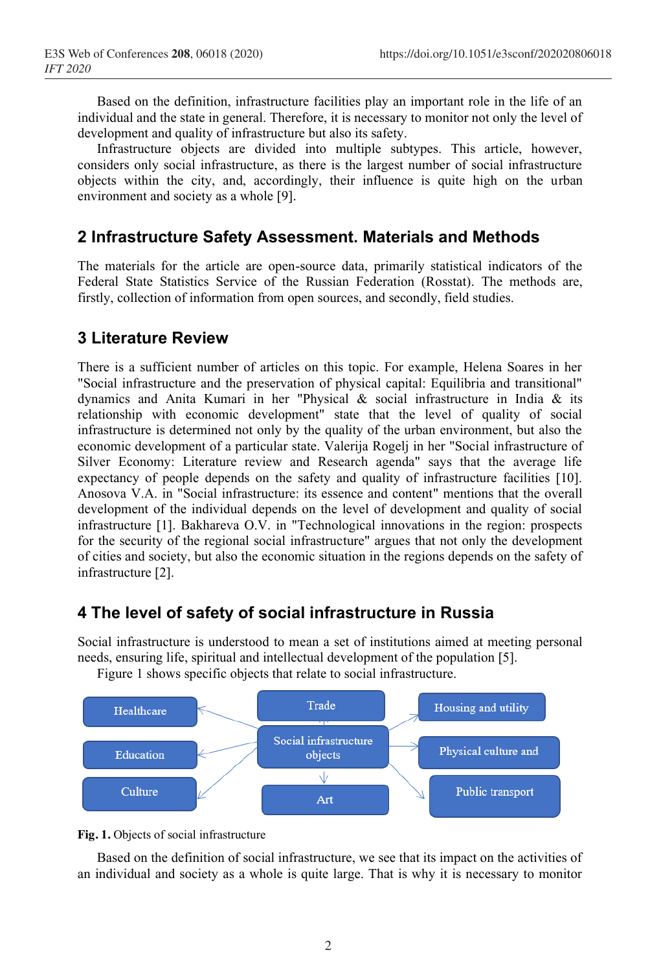Based on the definition, infrastructure facilities play an important role in the life of an individual and the state in general. Therefore, it is necessary to monitor not only the level of development and quality of infrastructure but also its safety.

Infrastructure objects are divided into multiple subtypes. This article, however, considers only social infrastructure, as there is the largest number of social infrastructure objects within the city, and, accordingly, their influence is quite high on the urban environment and society as a whole [9].

## **2 Infrastructure Safety Assessment. Materials and Methods**

The materials for the article are open-source data, primarily statistical indicators of the Federal State Statistics Service of the Russian Federation (Rosstat). The methods are, firstly, collection of information from open sources, and secondly, field studies.

## **3 Literature Review**

There is a sufficient number of articles on this topic. For example, Helena Soares in her "Social infrastructure and the preservation of physical capital: Equilibria and transitional" dynamics and Anita Kumari in her "Physical & social infrastructure in India & its relationship with economic development" state that the level of quality of social infrastructure is determined not only by the quality of the urban environment, but also the economic development of a particular state. Valerija Rogelj in her "Social infrastructure of Silver Economy: Literature review and Research agenda" says that the average life expectancy of people depends on the safety and quality of infrastructure facilities [10]. Anosova V.A. in "Social infrastructure: its essence and content" mentions that the overall development of the individual depends on the level of development and quality of social infrastructure [1]. Bakhareva O.V. in "Technological innovations in the region: prospects for the security of the regional social infrastructure" argues that not only the development of cities and society, but also the economic situation in the regions depends on the safety of infrastructure [2].

## **4 The level of safety of social infrastructure in Russia**

Social infrastructure is understood to mean a set of institutions aimed at meeting personal needs, ensuring life, spiritual and intellectual development of the population [5].

Figure 1 shows specific objects that relate to social infrastructure.





Based on the definition of social infrastructure, we see that its impact on the activities of an individual and society as a whole is quite large. That is why it is necessary to monitor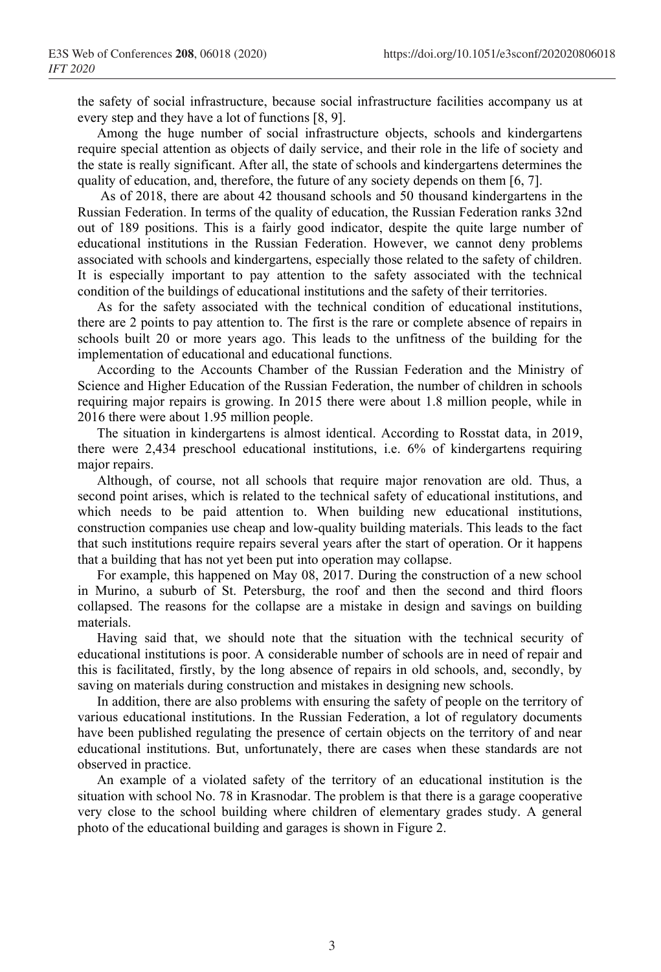the safety of social infrastructure, because social infrastructure facilities accompany us at every step and they have a lot of functions [8, 9].

Among the huge number of social infrastructure objects, schools and kindergartens require special attention as objects of daily service, and their role in the life of society and the state is really significant. After all, the state of schools and kindergartens determines the quality of education, and, therefore, the future of any society depends on them [6, 7].

As of 2018, there are about 42 thousand schools and 50 thousand kindergartens in the Russian Federation. In terms of the quality of education, the Russian Federation ranks 32nd out of 189 positions. This is a fairly good indicator, despite the quite large number of educational institutions in the Russian Federation. However, we cannot deny problems associated with schools and kindergartens, especially those related to the safety of children. It is especially important to pay attention to the safety associated with the technical condition of the buildings of educational institutions and the safety of their territories.

As for the safety associated with the technical condition of educational institutions, there are 2 points to pay attention to. The first is the rare or complete absence of repairs in schools built 20 or more years ago. This leads to the unfitness of the building for the implementation of educational and educational functions.

According to the Accounts Chamber of the Russian Federation and the Ministry of Science and Higher Education of the Russian Federation, the number of children in schools requiring major repairs is growing. In 2015 there were about 1.8 million people, while in 2016 there were about 1.95 million people.

The situation in kindergartens is almost identical. According to Rosstat data, in 2019, there were 2,434 preschool educational institutions, i.e. 6% of kindergartens requiring major repairs.

Although, of course, not all schools that require major renovation are old. Thus, a second point arises, which is related to the technical safety of educational institutions, and which needs to be paid attention to. When building new educational institutions, construction companies use cheap and low-quality building materials. This leads to the fact that such institutions require repairs several years after the start of operation. Or it happens that a building that has not yet been put into operation may collapse.

For example, this happened on May 08, 2017. During the construction of a new school in Murino, a suburb of St. Petersburg, the roof and then the second and third floors collapsed. The reasons for the collapse are a mistake in design and savings on building materials.

Having said that, we should note that the situation with the technical security of educational institutions is poor. A considerable number of schools are in need of repair and this is facilitated, firstly, by the long absence of repairs in old schools, and, secondly, by saving on materials during construction and mistakes in designing new schools.

In addition, there are also problems with ensuring the safety of people on the territory of various educational institutions. In the Russian Federation, a lot of regulatory documents have been published regulating the presence of certain objects on the territory of and near educational institutions. But, unfortunately, there are cases when these standards are not observed in practice.

An example of a violated safety of the territory of an educational institution is the situation with school No. 78 in Krasnodar. The problem is that there is a garage cooperative very close to the school building where children of elementary grades study. A general photo of the educational building and garages is shown in Figure 2.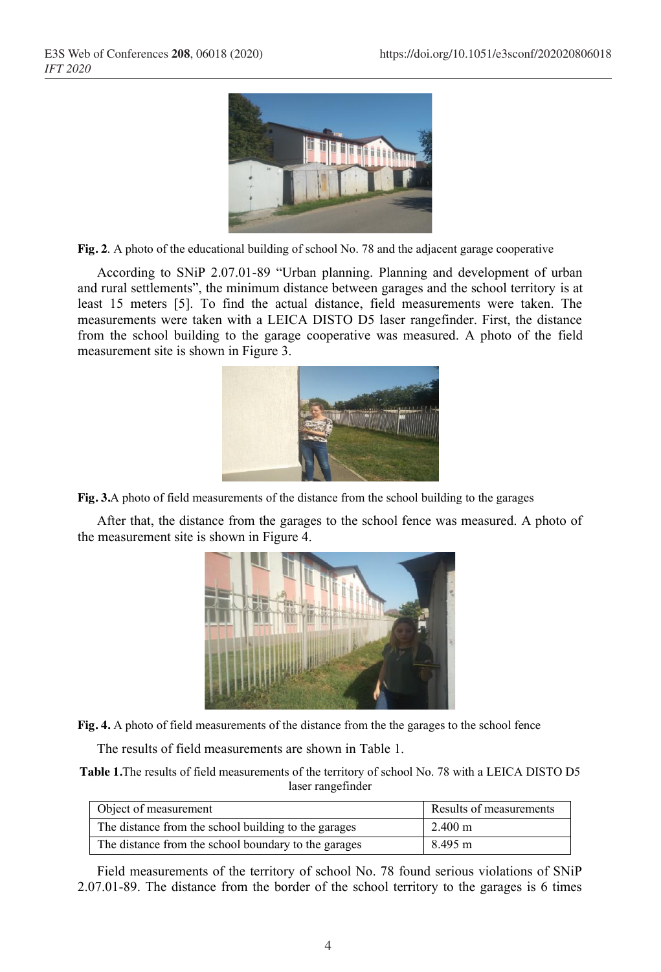

**Fig. 2**. A photo of the educational building of school No. 78 and the adjacent garage cooperative

According to SNiP 2.07.01-89 "Urban planning. Planning and development of urban and rural settlements", the minimum distance between garages and the school territory is at least 15 meters [5]. To find the actual distance, field measurements were taken. The measurements were taken with a LEICA DISTO D5 laser rangefinder. First, the distance from the school building to the garage cooperative was measured. A photo of the field measurement site is shown in Figure 3.



**Fig. 3.**A photo of field measurements of the distance from the school building to the garages

After that, the distance from the garages to the school fence was measured. A photo of the measurement site is shown in Figure 4.



**Fig. 4.** A photo of field measurements of the distance from the the garages to the school fence

The results of field measurements are shown in Table 1.

**Table 1.**The results of field measurements of the territory of school No. 78 with a LEICA DISTO D5 laser rangefinder

| Object of measurement                                | Results of measurements |
|------------------------------------------------------|-------------------------|
| The distance from the school building to the garages | $2.400 \text{ m}$       |
| The distance from the school boundary to the garages | 8.495 m                 |

Field measurements of the territory of school No. 78 found serious violations of SNiP 2.07.01-89. The distance from the border of the school territory to the garages is 6 times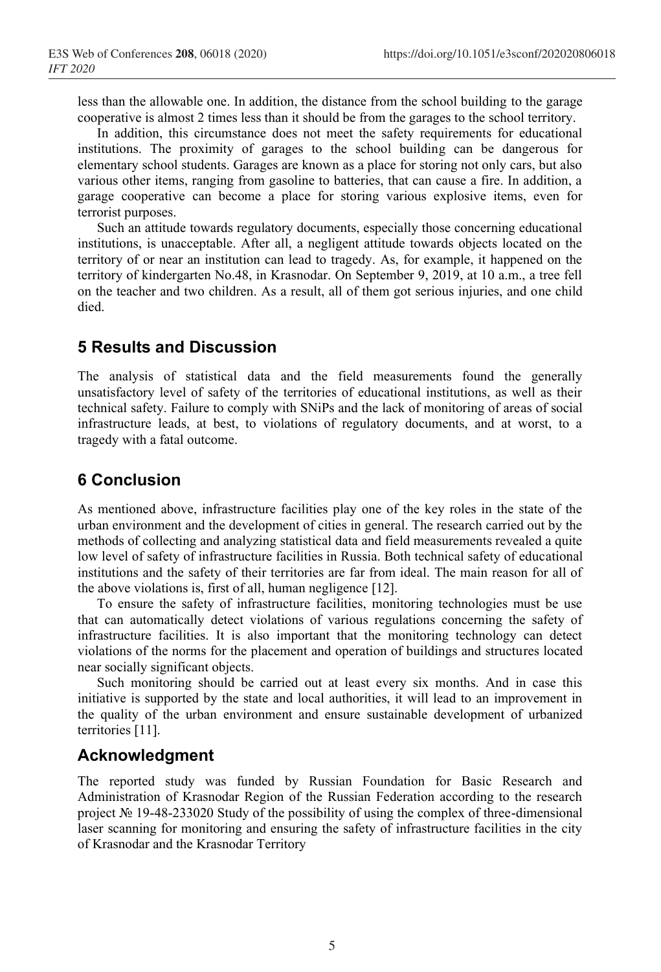less than the allowable one. In addition, the distance from the school building to the garage cooperative is almost 2 times less than it should be from the garages to the school territory.

In addition, this circumstance does not meet the safety requirements for educational institutions. The proximity of garages to the school building can be dangerous for elementary school students. Garages are known as a place for storing not only cars, but also various other items, ranging from gasoline to batteries, that can cause a fire. In addition, a garage cooperative can become a place for storing various explosive items, even for terrorist purposes.

Such an attitude towards regulatory documents, especially those concerning educational institutions, is unacceptable. After all, a negligent attitude towards objects located on the territory of or near an institution can lead to tragedy. As, for example, it happened on the territory of kindergarten No.48, in Krasnodar. On September 9, 2019, at 10 a.m., a tree fell on the teacher and two children. As a result, all of them got serious injuries, and one child died.

#### **5 Results and Discussion**

The analysis of statistical data and the field measurements found the generally unsatisfactory level of safety of the territories of educational institutions, as well as their technical safety. Failure to comply with SNiPs and the lack of monitoring of areas of social infrastructure leads, at best, to violations of regulatory documents, and at worst, to a tragedy with a fatal outcome.

## **6 Conclusion**

As mentioned above, infrastructure facilities play one of the key roles in the state of the urban environment and the development of cities in general. The research carried out by the methods of collecting and analyzing statistical data and field measurements revealed a quite low level of safety of infrastructure facilities in Russia. Both technical safety of educational institutions and the safety of their territories are far from ideal. The main reason for all of the above violations is, first of all, human negligence [12].

To ensure the safety of infrastructure facilities, monitoring technologies must be use that can automatically detect violations of various regulations concerning the safety of infrastructure facilities. It is also important that the monitoring technology can detect violations of the norms for the placement and operation of buildings and structures located near socially significant objects.

Such monitoring should be carried out at least every six months. And in case this initiative is supported by the state and local authorities, it will lead to an improvement in the quality of the urban environment and ensure sustainable development of urbanized territories [11].

## **Acknowledgment**

The reported study was funded by Russian Foundation for Basic Research and Administration of Krasnodar Region of the Russian Federation according to the research project № 19-48-233020 Study of the possibility of using the complex of three-dimensional laser scanning for monitoring and ensuring the safety of infrastructure facilities in the city of Krasnodar and the Krasnodar Territory